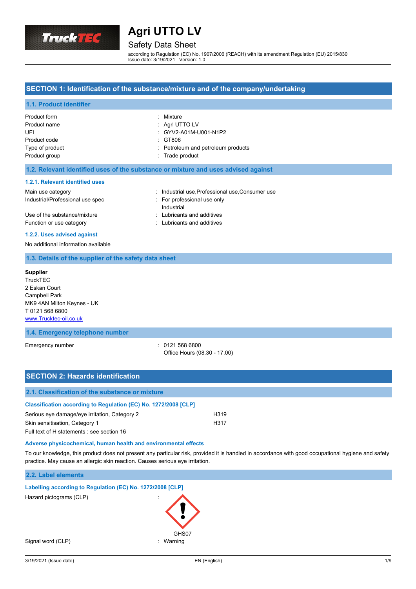

## Safety Data Sheet

according to Regulation (EC) No. 1907/2006 (REACH) with its amendment Regulation (EU) 2015/830 Issue date: 3/19/2021 Version: 1.0

#### **SECTION 1: Identification of the substance/mixture and of the company/undertaking**

#### **1.1. Product identifier**

| Product form<br>Product name<br>UFI | : Mixture<br>: Agri UTTO LV<br>: GYV2-A01M-U001-N1P2 |
|-------------------------------------|------------------------------------------------------|
| Product code<br>Type of product     | : GT806<br>: Petroleum and petroleum products        |
| Product group                       | : Trade product                                      |

#### **1.2. Relevant identified uses of the substance or mixture and uses advised against**

#### **1.2.1. Relevant identified uses**

### Main use category **industrial use, Professional use, Consumer use** in Main use category

Industrial/Professional use spec : For professional use only

Industrial Use of the substance/mixture in the substance in the set of the substance/mixture in the substance of the substance in the substance in the substance in the substance in the substance in the substance in the substance in t Function or use category **Exercise 20** Function or use category

#### **1.2.2. Uses advised against**

No additional information available

#### **1.3. Details of the supplier of the safety data sheet**

### **Supplier**

**TruckTEC** 2 Eskan Court Campbell Park MK9 4AN Milton Keynes - UK T 0121 568 6800 <www.Trucktec-oil.co.uk>

#### **1.4. Emergency telephone number**

Emergency number : 0121 568 6800

Office Hours (08.30 - 17.00)

| <b>SECTION 2: Hazards identification</b>                        |      |  |  |
|-----------------------------------------------------------------|------|--|--|
| 2.1. Classification of the substance or mixture                 |      |  |  |
| Classification according to Regulation (EC) No. 1272/2008 [CLP] |      |  |  |
| Serious eye damage/eye irritation, Category 2                   | H319 |  |  |
| Skin sensitisation, Category 1                                  | H317 |  |  |
| Full text of H statements : see section 16                      |      |  |  |

#### **Adverse physicochemical, human health and environmental effects**

To our knowledge, this product does not present any particular risk, provided it is handled in accordance with good occupational hygiene and safety practice. May cause an allergic skin reaction. Causes serious eye irritation.

#### **2.2. Label elements**

**Labelling according to Regulation (EC) No. 1272/2008 [CLP]**

Hazard pictograms (CLP) :

Signal word (CLP)  $\qquad \qquad$ : Warning

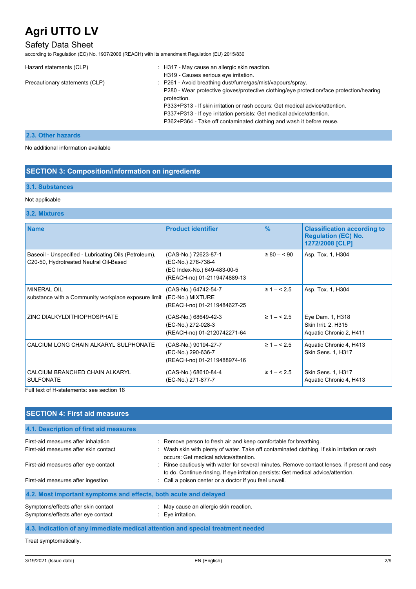## Safety Data Sheet

according to Regulation (EC) No. 1907/2006 (REACH) with its amendment Regulation (EU) 2015/830

| Hazard statements (CLP)        | : H317 - May cause an allergic skin reaction.<br>H319 - Causes serious eye irritation.                                                                                                                                                                                                                                                                                                                 |
|--------------------------------|--------------------------------------------------------------------------------------------------------------------------------------------------------------------------------------------------------------------------------------------------------------------------------------------------------------------------------------------------------------------------------------------------------|
| Precautionary statements (CLP) | : P261 - Avoid breathing dust/fume/gas/mist/vapours/spray.<br>P280 - Wear protective gloves/protective clothing/eye protection/face protection/hearing<br>protection.<br>P333+P313 - If skin irritation or rash occurs: Get medical advice/attention.<br>P337+P313 - If eye irritation persists: Get medical advice/attention.<br>P362+P364 - Take off contaminated clothing and wash it before reuse. |

### **2.3. Other hazards**

No additional information available

### **SECTION 3: Composition/information on ingredients**

## **3.1. Substances**

#### Not applicable

#### **3.2. Mixtures**

| <b>Name</b>                                                                                     | <b>Product identifier</b>                                                                                | $\frac{9}{6}$  | <b>Classification according to</b><br><b>Regulation (EC) No.</b><br>1272/2008 [CLP] |
|-------------------------------------------------------------------------------------------------|----------------------------------------------------------------------------------------------------------|----------------|-------------------------------------------------------------------------------------|
| Baseoil - Unspecified - Lubricating Oils (Petroleum),<br>C20-50, Hydrotreated Neutral Oil-Based | (CAS-No.) 72623-87-1<br>(EC-No.) 276-738-4<br>(EC Index-No.) 649-483-00-5<br>(REACH-no) 01-2119474889-13 | $\geq 80 - 90$ | Asp. Tox. 1, H304                                                                   |
| <b>MINERAL OIL</b><br>substance with a Community workplace exposure limit                       | (CAS-No.) 64742-54-7<br>(EC-No.) MIXTURE<br>(REACH-no) 01-2119484627-25                                  | $\geq 1 - 5.5$ | Asp. Tox. 1, H304                                                                   |
| ZINC DIALKYLDITHIOPHOSPHATE                                                                     | (CAS-No.) 68649-42-3<br>(EC-No.) 272-028-3<br>(REACH-no) 01-2120742271-64                                | $\geq 1 - 5.5$ | Eye Dam. 1, H318<br>Skin Irrit. 2, H315<br>Aquatic Chronic 2, H411                  |
| CALCIUM LONG CHAIN ALKARYL SULPHONATE                                                           | (CAS-No.) 90194-27-7<br>(EC-No.) 290-636-7<br>(REACH-no) 01-2119488974-16                                | $\geq 1 - 5.5$ | Aquatic Chronic 4, H413<br>Skin Sens. 1, H317                                       |
| CALCIUM BRANCHED CHAIN ALKARYL<br><b>SULFONATE</b>                                              | (CAS-No.) 68610-84-4<br>(EC-No.) 271-877-7                                                               | $\geq 1 - 5.5$ | Skin Sens. 1, H317<br>Aquatic Chronic 4, H413                                       |

Full text of H-statements: see section 16

## **SECTION 4: First aid measures**

| 4.1. Description of first aid measures                                       |                                                                                                                                                                                                                                               |  |  |  |
|------------------------------------------------------------------------------|-----------------------------------------------------------------------------------------------------------------------------------------------------------------------------------------------------------------------------------------------|--|--|--|
| First-aid measures after inhalation<br>First-aid measures after skin contact | : Remove person to fresh air and keep comfortable for breathing.<br>: Wash skin with plenty of water. Take off contaminated clothing. If skin irritation or rash<br>occurs: Get medical advice/attention.                                     |  |  |  |
| First-aid measures after eye contact<br>First-aid measures after ingestion   | : Rinse cautiously with water for several minutes. Remove contact lenses, if present and easy<br>to do. Continue rinsing. If eye irritation persists: Get medical advice/attention.<br>: Call a poison center or a doctor if you feel unwell. |  |  |  |
| 4.2. Most important symptoms and effects, both acute and delayed             |                                                                                                                                                                                                                                               |  |  |  |
| Symptoms/effects after skin contact<br>Symptoms/effects after eye contact    | : May cause an allergic skin reaction.<br>$\therefore$ Eye irritation.                                                                                                                                                                        |  |  |  |

### **4.3. Indication of any immediate medical attention and special treatment needed**

Treat symptomatically.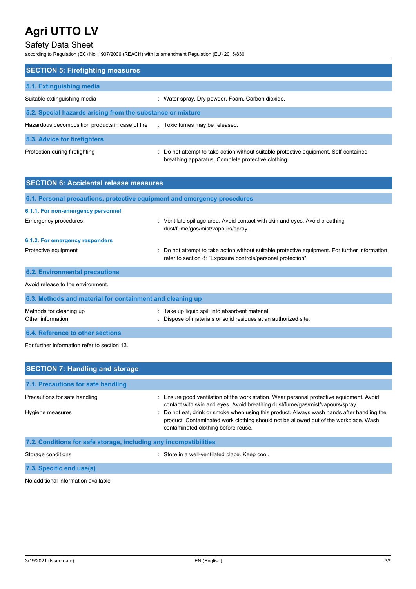## Safety Data Sheet

according to Regulation (EC) No. 1907/2006 (REACH) with its amendment Regulation (EU) 2015/830

| <b>SECTION 5: Firefighting measures</b>                    |                                                                                                                                             |  |  |  |
|------------------------------------------------------------|---------------------------------------------------------------------------------------------------------------------------------------------|--|--|--|
| 5.1. Extinguishing media                                   |                                                                                                                                             |  |  |  |
| Suitable extinguishing media                               | : Water spray. Dry powder. Foam. Carbon dioxide.                                                                                            |  |  |  |
| 5.2. Special hazards arising from the substance or mixture |                                                                                                                                             |  |  |  |
| Hazardous decomposition products in case of fire           | : Toxic fumes may be released.                                                                                                              |  |  |  |
| 5.3. Advice for firefighters                               |                                                                                                                                             |  |  |  |
| Protection during firefighting                             | : Do not attempt to take action without suitable protective equipment. Self-contained<br>breathing apparatus. Complete protective clothing. |  |  |  |

| <b>SECTION 6: Accidental release measures</b>                            |                                                                                                                                                                |  |  |  |
|--------------------------------------------------------------------------|----------------------------------------------------------------------------------------------------------------------------------------------------------------|--|--|--|
| 6.1. Personal precautions, protective equipment and emergency procedures |                                                                                                                                                                |  |  |  |
| 6.1.1. For non-emergency personnel                                       |                                                                                                                                                                |  |  |  |
| Emergency procedures                                                     | : Ventilate spillage area. Avoid contact with skin and eyes. Avoid breathing<br>dust/fume/gas/mist/vapours/spray.                                              |  |  |  |
| 6.1.2. For emergency responders                                          |                                                                                                                                                                |  |  |  |
| Protective equipment                                                     | : Do not attempt to take action without suitable protective equipment. For further information<br>refer to section 8: "Exposure controls/personal protection". |  |  |  |
| <b>6.2. Environmental precautions</b>                                    |                                                                                                                                                                |  |  |  |
| Avoid release to the environment.                                        |                                                                                                                                                                |  |  |  |
| 6.3. Methods and material for containment and cleaning up                |                                                                                                                                                                |  |  |  |
| Methods for cleaning up<br>Other information                             | Take up liquid spill into absorbent material.<br>Dispose of materials or solid residues at an authorized site.                                                 |  |  |  |

**6.4. Reference to other sections**

For further information refer to section 13.

| <b>SECTION 7: Handling and storage</b>                            |                                                                                                                                                                                                                           |  |  |  |  |
|-------------------------------------------------------------------|---------------------------------------------------------------------------------------------------------------------------------------------------------------------------------------------------------------------------|--|--|--|--|
| 7.1. Precautions for safe handling                                |                                                                                                                                                                                                                           |  |  |  |  |
| Precautions for safe handling                                     | : Ensure good ventilation of the work station. Wear personal protective equipment. Avoid<br>contact with skin and eyes. Avoid breathing dust/fume/gas/mist/vapours/spray.                                                 |  |  |  |  |
| Hygiene measures                                                  | : Do not eat, drink or smoke when using this product. Always wash hands after handling the<br>product. Contaminated work clothing should not be allowed out of the workplace. Wash<br>contaminated clothing before reuse. |  |  |  |  |
| 7.2. Conditions for safe storage, including any incompatibilities |                                                                                                                                                                                                                           |  |  |  |  |
| Storage conditions                                                | : Store in a well-ventilated place. Keep cool.                                                                                                                                                                            |  |  |  |  |

**7.3. Specific end use(s)**

No additional information available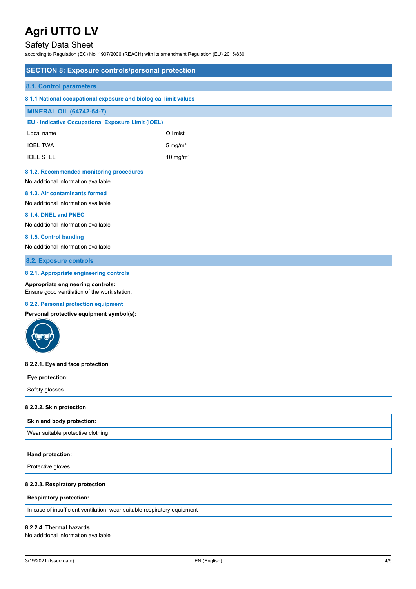## Safety Data Sheet

according to Regulation (EC) No. 1907/2006 (REACH) with its amendment Regulation (EU) 2015/830

#### **SECTION 8: Exposure controls/personal protection**

#### **8.1. Control parameters**

#### **8.1.1 National occupational exposure and biological limit values**

| <b>MINERAL OIL (64742-54-7)</b>                           |                      |  |
|-----------------------------------------------------------|----------------------|--|
| <b>EU - Indicative Occupational Exposure Limit (IOEL)</b> |                      |  |
| Oil mist<br>Local name                                    |                      |  |
| <b>IOEL TWA</b>                                           | $5 \text{ mg/m}^3$   |  |
| <b>IOEL STEL</b>                                          | 10 mg/m <sup>3</sup> |  |

#### **8.1.2. Recommended monitoring procedures**

No additional information available

#### **8.1.3. Air contaminants formed**

No additional information available

#### **8.1.4. DNEL and PNEC**

No additional information available

#### **8.1.5. Control banding**

No additional information available

**8.2. Exposure controls**

#### **8.2.1. Appropriate engineering controls**

#### **Appropriate engineering controls:**

Ensure good ventilation of the work station.

#### **8.2.2. Personal protection equipment**

**Personal protective equipment symbol(s):**



#### **8.2.2.1. Eye and face protection**

| Eye protection: |  |  |
|-----------------|--|--|
| Safety glasses  |  |  |

#### **8.2.2.2. Skin protection**

| Skin and body protection: |
|---------------------------|
|                           |

Wear suitable protective clothing

| Hand protection: |  |  |
|------------------|--|--|
|                  |  |  |

**Protective gloves** 

#### **8.2.2.3. Respiratory protection**

#### **Respiratory protection:**

In case of insufficient ventilation, wear suitable respiratory equipment

#### **8.2.2.4. Thermal hazards**

No additional information available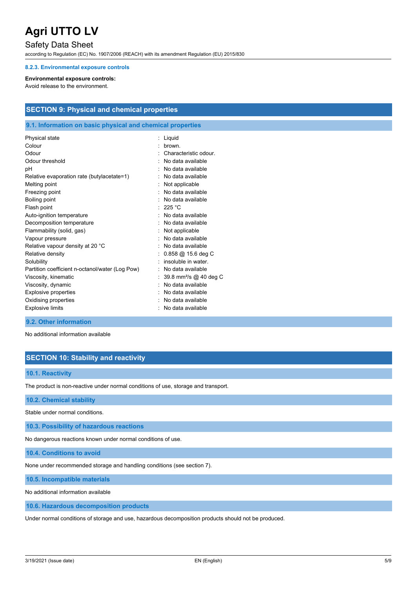## Safety Data Sheet

according to Regulation (EC) No. 1907/2006 (REACH) with its amendment Regulation (EU) 2015/830

#### **8.2.3. Environmental exposure controls**

#### **Environmental exposure controls:**

Avoid release to the environment.

### **SECTION 9: Physical and chemical properties**

#### **9.1. Information on basic physical and chemical properties**

| Physical state                                  | Liquid                             |
|-------------------------------------------------|------------------------------------|
| Colour                                          | <b>brown</b>                       |
| Odour                                           | Characteristic odour               |
| Odour threshold                                 | No data available                  |
| рH                                              | No data available                  |
| Relative evaporation rate (butylacetate=1)      | No data available                  |
| Melting point                                   | Not applicable                     |
| Freezing point                                  | No data available                  |
| Boiling point                                   | No data available                  |
| Flash point                                     | 225 $°C$                           |
| Auto-ignition temperature                       | No data available                  |
| Decomposition temperature                       | No data available                  |
| Flammability (solid, gas)                       | Not applicable                     |
| Vapour pressure                                 | No data available                  |
| Relative vapour density at 20 °C                | No data available                  |
| Relative density                                | $0.858 \ @$ 15.6 deg C             |
| Solubility                                      | insoluble in water                 |
| Partition coefficient n-octanol/water (Log Pow) | No data available                  |
| Viscosity, kinematic                            | 39.8 mm <sup>2</sup> /s @ 40 deg C |
| Viscosity, dynamic                              | No data available                  |
| Explosive properties                            | No data available                  |
| Oxidising properties                            | No data available                  |
| <b>Explosive limits</b>                         | No data available                  |
|                                                 |                                    |

#### **9.2. Other information**

No additional information available

### **SECTION 10: Stability and reactivity**

#### **10.1. Reactivity**

The product is non-reactive under normal conditions of use, storage and transport.

#### **10.2. Chemical stability**

Stable under normal conditions.

**10.3. Possibility of hazardous reactions**

No dangerous reactions known under normal conditions of use.

**10.4. Conditions to avoid**

None under recommended storage and handling conditions (see section 7).

**10.5. Incompatible materials**

No additional information available

**10.6. Hazardous decomposition products**

Under normal conditions of storage and use, hazardous decomposition products should not be produced.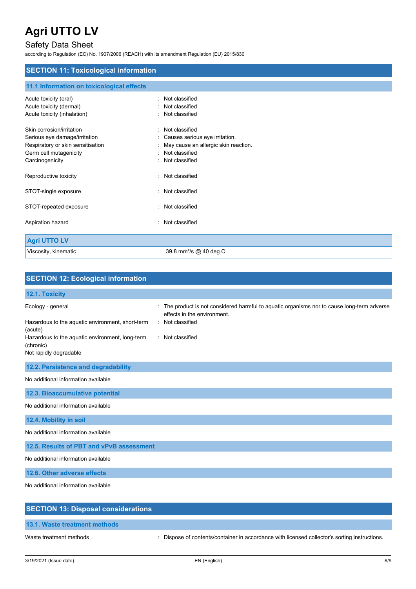## Safety Data Sheet

according to Regulation (EC) No. 1907/2006 (REACH) with its amendment Regulation (EU) 2015/830

### **SECTION 11: Toxicological information**

## **11.1 Information on toxicological effects**

| Acute toxicity (oral)<br>Acute toxicity (dermal)<br>Acute toxicity (inhalation)                                                              | ۰. | Not classified<br>Not classified<br>Not classified                                                                             |
|----------------------------------------------------------------------------------------------------------------------------------------------|----|--------------------------------------------------------------------------------------------------------------------------------|
| Skin corrosion/irritation<br>Serious eye damage/irritation<br>Respiratory or skin sensitisation<br>Germ cell mutagenicity<br>Carcinogenicity | ٠  | Not classified<br>Causes serious eye irritation.<br>May cause an allergic skin reaction.<br>Not classified<br>: Not classified |
| Reproductive toxicity                                                                                                                        |    | : Not classified                                                                                                               |
| STOT-single exposure                                                                                                                         |    | : Not classified                                                                                                               |
| STOT-repeated exposure                                                                                                                       |    | : Not classified                                                                                                               |
| Aspiration hazard                                                                                                                            |    | : Not classified                                                                                                               |
| <b>Agri UTTO LV</b>                                                                                                                          |    |                                                                                                                                |
| Viscosity, kinematic                                                                                                                         |    | 39.8 mm <sup>2</sup> /s @ 40 deg C                                                                                             |

| <b>SECTION 12: Ecological information</b>                                                                                                                                  |                                                                                                                                                                    |
|----------------------------------------------------------------------------------------------------------------------------------------------------------------------------|--------------------------------------------------------------------------------------------------------------------------------------------------------------------|
| 12.1. Toxicity                                                                                                                                                             |                                                                                                                                                                    |
| Ecology - general<br>Hazardous to the aquatic environment, short-term<br>(acute)<br>Hazardous to the aquatic environment, long-term<br>(chronic)<br>Not rapidly degradable | : The product is not considered harmful to aquatic organisms nor to cause long-term adverse<br>effects in the environment.<br>: Not classified<br>: Not classified |
| 12.2. Persistence and degradability                                                                                                                                        |                                                                                                                                                                    |
| No additional information available                                                                                                                                        |                                                                                                                                                                    |
| 12.3. Bioaccumulative potential                                                                                                                                            |                                                                                                                                                                    |
| No additional information available                                                                                                                                        |                                                                                                                                                                    |
| 12.4. Mobility in soil                                                                                                                                                     |                                                                                                                                                                    |
| No additional information available                                                                                                                                        |                                                                                                                                                                    |
| 12.5. Results of PBT and vPvB assessment                                                                                                                                   |                                                                                                                                                                    |
| No additional information available                                                                                                                                        |                                                                                                                                                                    |
| 12.6. Other adverse effects                                                                                                                                                |                                                                                                                                                                    |
| No additional information available                                                                                                                                        |                                                                                                                                                                    |
| <b>SECTION 13: Disposal considerations</b>                                                                                                                                 |                                                                                                                                                                    |

## **13.1. Waste treatment methods**

Waste treatment methods : Dispose of contents/container in accordance with licensed collector's sorting instructions.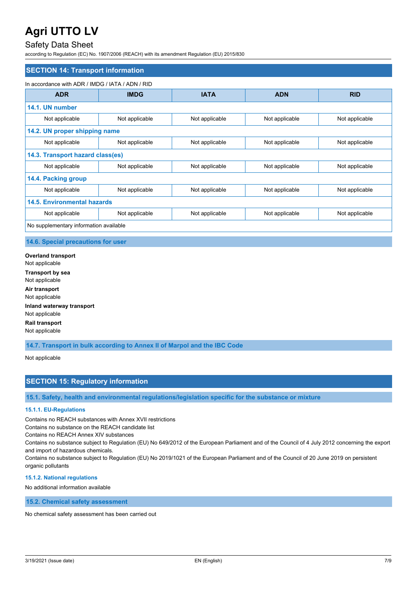## Safety Data Sheet

according to Regulation (EC) No. 1907/2006 (REACH) with its amendment Regulation (EU) 2015/830

| <b>SECTION 14: Transport information</b>         |                |                |                |                |
|--------------------------------------------------|----------------|----------------|----------------|----------------|
| In accordance with ADR / IMDG / IATA / ADN / RID |                |                |                |                |
| <b>ADR</b>                                       | <b>IMDG</b>    | <b>IATA</b>    | <b>ADN</b>     | <b>RID</b>     |
| 14.1. UN number                                  |                |                |                |                |
| Not applicable                                   | Not applicable | Not applicable | Not applicable | Not applicable |
| 14.2. UN proper shipping name                    |                |                |                |                |
| Not applicable                                   | Not applicable | Not applicable | Not applicable | Not applicable |
| 14.3. Transport hazard class(es)                 |                |                |                |                |
| Not applicable                                   | Not applicable | Not applicable | Not applicable | Not applicable |
| 14.4. Packing group                              |                |                |                |                |
| Not applicable                                   | Not applicable | Not applicable | Not applicable | Not applicable |
| <b>14.5. Environmental hazards</b>               |                |                |                |                |
| Not applicable                                   | Not applicable | Not applicable | Not applicable | Not applicable |
| No supplementary information available           |                |                |                |                |

#### **14.6. Special precautions for user**

**Overland transport** Not applicable **Transport by sea** Not applicable **Air transport** Not applicable **Inland waterway transport** Not applicable **Rail transport** Not applicable

**14.7. Transport in bulk according to Annex II of Marpol and the IBC Code**

Not applicable

## **SECTION 15: Regulatory information**

**15.1. Safety, health and environmental regulations/legislation specific for the substance or mixture**

#### **15.1.1. EU-Regulations**

Contains no REACH substances with Annex XVII restrictions

Contains no substance on the REACH candidate list

Contains no REACH Annex XIV substances

Contains no substance subject to Regulation (EU) No 649/2012 of the European Parliament and of the Council of 4 July 2012 concerning the export and import of hazardous chemicals.

Contains no substance subject to Regulation (EU) No 2019/1021 of the European Parliament and of the Council of 20 June 2019 on persistent organic pollutants

#### **15.1.2. National regulations**

No additional information available

**15.2. Chemical safety assessment**

No chemical safety assessment has been carried out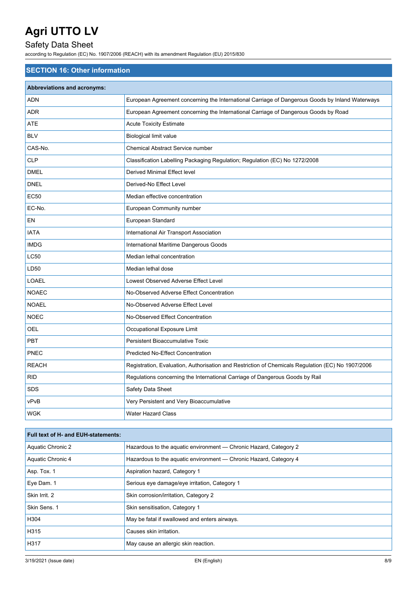## Safety Data Sheet

according to Regulation (EC) No. 1907/2006 (REACH) with its amendment Regulation (EU) 2015/830

## **SECTION 16: Other information**

| <b>Abbreviations and acronyms:</b> |                                                                                                   |
|------------------------------------|---------------------------------------------------------------------------------------------------|
| <b>ADN</b>                         | European Agreement concerning the International Carriage of Dangerous Goods by Inland Waterways   |
| <b>ADR</b>                         | European Agreement concerning the International Carriage of Dangerous Goods by Road               |
| ATE                                | <b>Acute Toxicity Estimate</b>                                                                    |
| <b>BLV</b>                         | <b>Biological limit value</b>                                                                     |
| CAS-No.                            | Chemical Abstract Service number                                                                  |
| CLP                                | Classification Labelling Packaging Regulation; Regulation (EC) No 1272/2008                       |
| <b>DMEL</b>                        | <b>Derived Minimal Effect level</b>                                                               |
| <b>DNEL</b>                        | Derived-No Effect Level                                                                           |
| <b>EC50</b>                        | Median effective concentration                                                                    |
| EC-No.                             | European Community number                                                                         |
| EN                                 | European Standard                                                                                 |
| <b>IATA</b>                        | International Air Transport Association                                                           |
| <b>IMDG</b>                        | International Maritime Dangerous Goods                                                            |
| <b>LC50</b>                        | Median lethal concentration                                                                       |
| LD50                               | Median lethal dose                                                                                |
| <b>LOAEL</b>                       | Lowest Observed Adverse Effect Level                                                              |
| <b>NOAEC</b>                       | No-Observed Adverse Effect Concentration                                                          |
| <b>NOAEL</b>                       | No-Observed Adverse Effect Level                                                                  |
| <b>NOEC</b>                        | No-Observed Effect Concentration                                                                  |
| OEL                                | Occupational Exposure Limit                                                                       |
| <b>PBT</b>                         | <b>Persistent Bioaccumulative Toxic</b>                                                           |
| PNEC                               | <b>Predicted No-Effect Concentration</b>                                                          |
| <b>REACH</b>                       | Registration, Evaluation, Authorisation and Restriction of Chemicals Regulation (EC) No 1907/2006 |
| <b>RID</b>                         | Regulations concerning the International Carriage of Dangerous Goods by Rail                      |
| SDS                                | Safety Data Sheet                                                                                 |
| vPvB                               | Very Persistent and Very Bioaccumulative                                                          |
| WGK                                | <b>Water Hazard Class</b>                                                                         |

| Full text of H- and EUH-statements: |                                                                   |  |
|-------------------------------------|-------------------------------------------------------------------|--|
| Aquatic Chronic 2                   | Hazardous to the aquatic environment - Chronic Hazard, Category 2 |  |
| Aquatic Chronic 4                   | Hazardous to the aquatic environment — Chronic Hazard, Category 4 |  |
| Asp. Tox. 1                         | Aspiration hazard, Category 1                                     |  |
| Eye Dam. 1                          | Serious eye damage/eye irritation, Category 1                     |  |
| Skin Irrit. 2                       | Skin corrosion/irritation, Category 2                             |  |
| Skin Sens. 1                        | Skin sensitisation, Category 1                                    |  |
| H304                                | May be fatal if swallowed and enters airways.                     |  |
| H315                                | Causes skin irritation.                                           |  |
| H317                                | May cause an allergic skin reaction.                              |  |
|                                     |                                                                   |  |